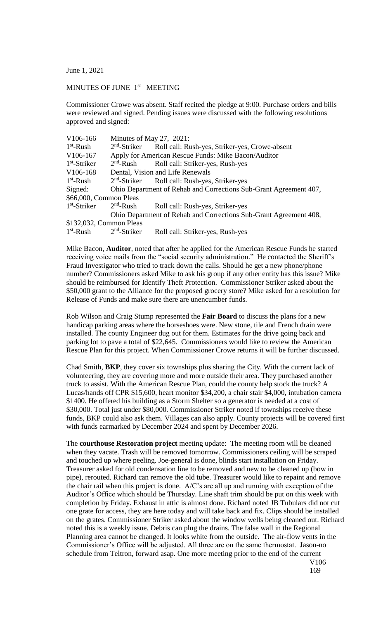June 1, 2021

## MINUTES OF JUNE 1<sup>st</sup> MEETING

Commissioner Crowe was absent. Staff recited the pledge at 9:00. Purchase orders and bills were reviewed and signed. Pending issues were discussed with the following resolutions approved and signed:

| V106-166                | Minutes of May 27, 2021:                                          |                                                                         |
|-------------------------|-------------------------------------------------------------------|-------------------------------------------------------------------------|
| $1st$ -Rush             |                                                                   | 2 <sup>nd</sup> -Striker Roll call: Rush-yes, Striker-yes, Crowe-absent |
| V106-167                | Apply for American Rescue Funds: Mike Bacon/Auditor               |                                                                         |
| $1st$ -Striker          | $2nd$ -Rush                                                       | Roll call: Striker-yes, Rush-yes                                        |
| V106-168                | Dental, Vision and Life Renewals                                  |                                                                         |
| $1st$ -Rush             |                                                                   | 2 <sup>nd</sup> -Striker Roll call: Rush-yes, Striker-yes               |
| Signed:                 | Ohio Department of Rehab and Corrections Sub-Grant Agreement 407, |                                                                         |
| \$66,000, Common Pleas  |                                                                   |                                                                         |
| $1st$ -Striker          | $2nd$ -Rush                                                       | Roll call: Rush-yes, Striker-yes                                        |
|                         | Ohio Department of Rehab and Corrections Sub-Grant Agreement 408, |                                                                         |
| \$132,032, Common Pleas |                                                                   |                                                                         |
| $1st$ -Rush             | $2nd$ -Striker                                                    | Roll call: Striker-yes, Rush-yes                                        |

Mike Bacon, **Auditor**, noted that after he applied for the American Rescue Funds he started receiving voice mails from the "social security administration." He contacted the Sheriff's Fraud Investigator who tried to track down the calls. Should he get a new phone/phone number? Commissioners asked Mike to ask his group if any other entity has this issue? Mike should be reimbursed for Identify Theft Protection. Commissioner Striker asked about the \$50,000 grant to the Alliance for the proposed grocery store? Mike asked for a resolution for Release of Funds and make sure there are unencumber funds.

Rob Wilson and Craig Stump represented the **Fair Board** to discuss the plans for a new handicap parking areas where the horseshoes were. New stone, tile and French drain were installed. The county Engineer dug out for them. Estimates for the drive going back and parking lot to pave a total of \$22,645. Commissioners would like to review the American Rescue Plan for this project. When Commissioner Crowe returns it will be further discussed.

Chad Smith, **BKP**, they cover six townships plus sharing the City. With the current lack of volunteering, they are covering more and more outside their area. They purchased another truck to assist. With the American Rescue Plan, could the county help stock the truck? A Lucas/hands off CPR \$15,600, heart monitor \$34,200, a chair stair \$4,000, intubation camera \$1400. He offered his building as a Storm Shelter so a generator is needed at a cost of \$30,000. Total just under \$80,000. Commissioner Striker noted if townships receive these funds, BKP could also ask them. Villages can also apply. County projects will be covered first with funds earmarked by December 2024 and spent by December 2026.

The **courthouse Restoration project** meeting update: The meeting room will be cleaned when they vacate. Trash will be removed tomorrow. Commissioners ceiling will be scraped and touched up where peeling. Joe-general is done, blinds start installation on Friday. Treasurer asked for old condensation line to be removed and new to be cleaned up (bow in pipe), rerouted. Richard can remove the old tube. Treasurer would like to repaint and remove the chair rail when this project is done. A/C's are all up and running with exception of the Auditor's Office which should be Thursday. Line shaft trim should be put on this week with completion by Friday. Exhaust in attic is almost done. Richard noted JB Tubulars did not cut one grate for access, they are here today and will take back and fix. Clips should be installed on the grates. Commissioner Striker asked about the window wells being cleaned out. Richard noted this is a weekly issue. Debris can plug the drains. The false wall in the Regional Planning area cannot be changed. It looks white from the outside. The air-flow vents in the Commissioner's Office will be adjusted. All three are on the same thermostat. Jason-no schedule from Teltron, forward asap. One more meeting prior to the end of the current

V106 169